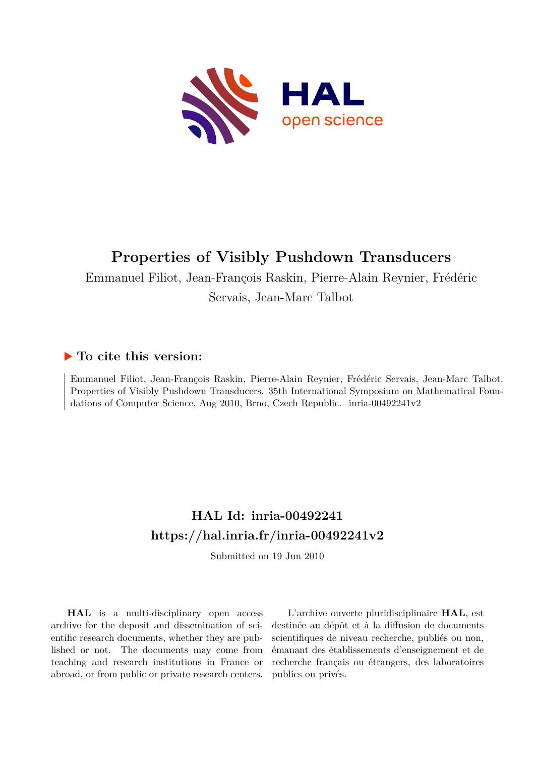

# **Properties of Visibly Pushdown Transducers**

Emmanuel Filiot, Jean-François Raskin, Pierre-Alain Reynier, Frédéric Servais, Jean-Marc Talbot

## **To cite this version:**

Emmanuel Filiot, Jean-François Raskin, Pierre-Alain Reynier, Frédéric Servais, Jean-Marc Talbot. Properties of Visibly Pushdown Transducers. 35th International Symposium on Mathematical Foundations of Computer Science, Aug 2010, Brno, Czech Republic. inria-00492241v2

# **HAL Id: inria-00492241 <https://hal.inria.fr/inria-00492241v2>**

Submitted on 19 Jun 2010

**HAL** is a multi-disciplinary open access archive for the deposit and dissemination of scientific research documents, whether they are published or not. The documents may come from teaching and research institutions in France or abroad, or from public or private research centers.

L'archive ouverte pluridisciplinaire **HAL**, est destinée au dépôt et à la diffusion de documents scientifiques de niveau recherche, publiés ou non, émanant des établissements d'enseignement et de recherche français ou étrangers, des laboratoires publics ou privés.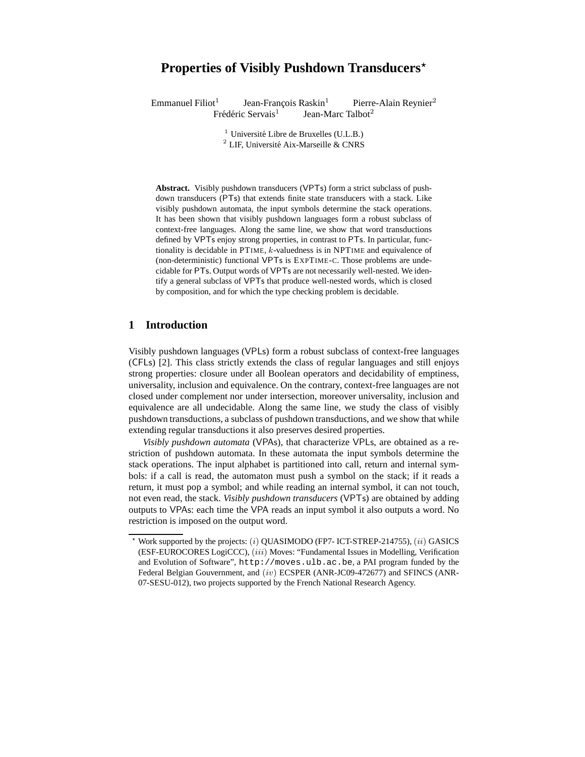## Properties of Visibly Pushdown Transducers<sup>\*</sup>

Emmanuel Filiot $1$ Jean-François Raskin<sup>1</sup> Pierre-Alain Reynier<sup>2</sup> Frédéric Servais<sup>1</sup> Jean-Marc Talbot<sup>2</sup>

> $<sup>1</sup>$  Université Libre de Bruxelles (U.L.B.)</sup>  $2$  LIF, Université Aix-Marseille & CNRS

**Abstract.** Visibly pushdown transducers (VPTs) form a strict subclass of pushdown transducers (PTs) that extends finite state transducers with a stack. Like visibly pushdown automata, the input symbols determine the stack operations. It has been shown that visibly pushdown languages form a robust subclass of context-free languages. Along the same line, we show that word transductions defined by VPTs enjoy strong properties, in contrast to PTs. In particular, functionality is decidable in PTIME, k-valuedness is in NPTIME and equivalence of (non-deterministic) functional VPTs is EXPTIME-C. Those problems are undecidable for PTs. Output words of VPTs are not necessarily well-nested. We identify a general subclass of VPTs that produce well-nested words, which is closed by composition, and for which the type checking problem is decidable.

#### **1 Introduction**

Visibly pushdown languages (VPLs) form a robust subclass of context-free languages (CFLs) [2]. This class strictly extends the class of regular languages and still enjoys strong properties: closure under all Boolean operators and decidability of emptiness, universality, inclusion and equivalence. On the contrary, context-free languages are not closed under complement nor under intersection, moreover universality, inclusion and equivalence are all undecidable. Along the same line, we study the class of visibly pushdown transductions, a subclass of pushdown transductions, and we show that while extending regular transductions it also preserves desired properties.

*Visibly pushdown automata* (VPAs), that characterize VPLs, are obtained as a restriction of pushdown automata. In these automata the input symbols determine the stack operations. The input alphabet is partitioned into call, return and internal symbols: if a call is read, the automaton must push a symbol on the stack; if it reads a return, it must pop a symbol; and while reading an internal symbol, it can not touch, not even read, the stack. *Visibly pushdown transducers* (VPTs) are obtained by adding outputs to VPAs: each time the VPA reads an input symbol it also outputs a word. No restriction is imposed on the output word.

 $*$  Work supported by the projects: (i) QUASIMODO (FP7- ICT-STREP-214755), (ii) GASICS (ESF-EUROCORES LogiCCC), (iii) Moves: "Fundamental Issues in Modelling, Verification and Evolution of Software", http://moves.ulb.ac.be, a PAI program funded by the Federal Belgian Gouvernment, and (iv) ECSPER (ANR-JC09-472677) and SFINCS (ANR-07-SESU-012), two projects supported by the French National Research Agency.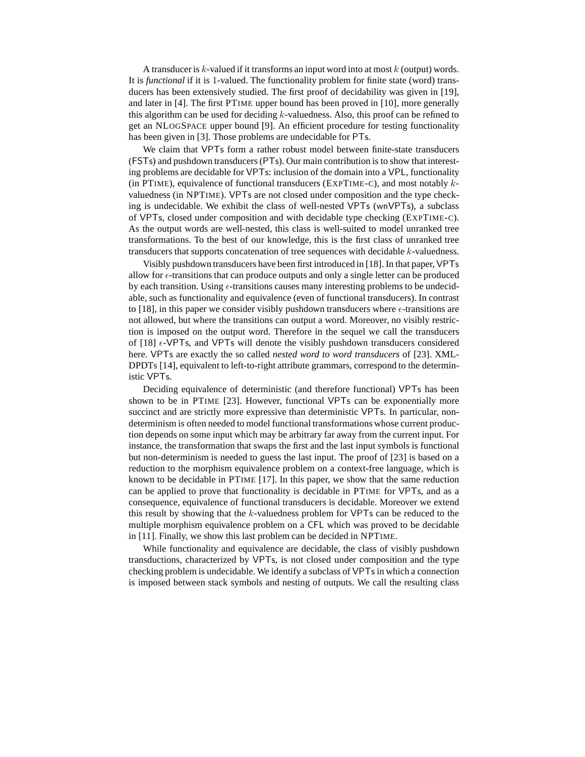A transducer is  $k$ -valued if it transforms an input word into at most  $k$  (output) words. It is *functional* if it is 1-valued. The functionality problem for finite state (word) transducers has been extensively studied. The first proof of decidability was given in [19], and later in [4]. The first PTIME upper bound has been proved in [10], more generally this algorithm can be used for deciding  $k$ -valuedness. Also, this proof can be refined to get an NLOGSPACE upper bound [9]. An efficient procedure for testing functionality has been given in [3]. Those problems are undecidable for PTs.

We claim that VPTs form a rather robust model between finite-state transducers (FSTs) and pushdown transducers (PTs). Our main contribution is to show that interesting problems are decidable for VPTs: inclusion of the domain into a VPL, functionality (in PTIME), equivalence of functional transducers ( $EXPTIME-C$ ), and most notably  $k$ valuedness (in NPTIME). VPTs are not closed under composition and the type checking is undecidable. We exhibit the class of well-nested VPTs (wnVPTs), a subclass of VPTs, closed under composition and with decidable type checking (EXPTIME-C). As the output words are well-nested, this class is well-suited to model unranked tree transformations. To the best of our knowledge, this is the first class of unranked tree transducers that supports concatenation of tree sequences with decidable k-valuedness.

Visibly pushdown transducers have been first introduced in [18]. In that paper,VPTs allow for  $\epsilon$ -transitions that can produce outputs and only a single letter can be produced by each transition. Using  $\epsilon$ -transitions causes many interesting problems to be undecidable, such as functionality and equivalence (even of functional transducers). In contrast to [18], in this paper we consider visibly pushdown transducers where  $\epsilon$ -transitions are not allowed, but where the transitions can output a word. Moreover, no visibly restriction is imposed on the output word. Therefore in the sequel we call the transducers of  $[18] \epsilon$ -VPTs, and VPTs will denote the visibly pushdown transducers considered here. VPTs are exactly the so called *nested word to word transducers* of [23]. XML-DPDTs [14], equivalent to left-to-right attribute grammars, correspond to the deterministic VPTs.

Deciding equivalence of deterministic (and therefore functional) VPTs has been shown to be in PTIME [23]. However, functional VPTs can be exponentially more succinct and are strictly more expressive than deterministic VPTs. In particular, nondeterminism is often needed to model functional transformations whose current production depends on some input which may be arbitrary far away from the current input. For instance, the transformation that swaps the first and the last input symbols is functional but non-determinism is needed to guess the last input. The proof of [23] is based on a reduction to the morphism equivalence problem on a context-free language, which is known to be decidable in PTIME [17]. In this paper, we show that the same reduction can be applied to prove that functionality is decidable in PTIME for VPTs, and as a consequence, equivalence of functional transducers is decidable. Moreover we extend this result by showing that the  $k$ -valuedness problem for VPTs can be reduced to the multiple morphism equivalence problem on a CFL which was proved to be decidable in [11]. Finally, we show this last problem can be decided in NPTIME.

While functionality and equivalence are decidable, the class of visibly pushdown transductions, characterized by VPTs, is not closed under composition and the type checking problem is undecidable. We identify a subclass of VPTs in which a connection is imposed between stack symbols and nesting of outputs. We call the resulting class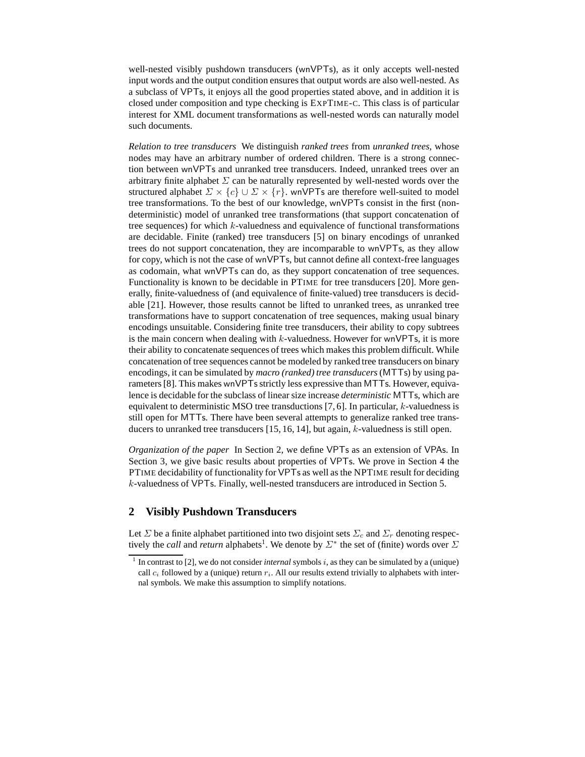well-nested visibly pushdown transducers (wnVPTs), as it only accepts well-nested input words and the output condition ensures that output words are also well-nested. As a subclass of VPTs, it enjoys all the good properties stated above, and in addition it is closed under composition and type checking is EXPTIME-C. This class is of particular interest for XML document transformations as well-nested words can naturally model such documents.

*Relation to tree transducers* We distinguish *ranked trees* from *unranked trees*, whose nodes may have an arbitrary number of ordered children. There is a strong connection between wnVPTs and unranked tree transducers. Indeed, unranked trees over an arbitrary finite alphabet  $\Sigma$  can be naturally represented by well-nested words over the structured alphabet  $\Sigma \times \{c\} \cup \Sigma \times \{r\}$ . wnVPTs are therefore well-suited to model tree transformations. To the best of our knowledge, wnVPTs consist in the first (nondeterministic) model of unranked tree transformations (that support concatenation of tree sequences) for which k-valuedness and equivalence of functional transformations are decidable. Finite (ranked) tree transducers [5] on binary encodings of unranked trees do not support concatenation, they are incomparable to wnVPTs, as they allow for copy, which is not the case of wnVPTs, but cannot define all context-free languages as codomain, what wnVPTs can do, as they support concatenation of tree sequences. Functionality is known to be decidable in PTIME for tree transducers [20]. More generally, finite-valuedness of (and equivalence of finite-valued) tree transducers is decidable [21]. However, those results cannot be lifted to unranked trees, as unranked tree transformations have to support concatenation of tree sequences, making usual binary encodings unsuitable. Considering finite tree transducers, their ability to copy subtrees is the main concern when dealing with  $k$ -valuedness. However for wnVPTs, it is more their ability to concatenate sequences of trees which makesthis problem difficult. While concatenation of tree sequences cannot be modeled by ranked tree transducers on binary encodings, it can be simulated by *macro (ranked) tree transducers*(MTTs) by using parameters [8]. This makes wnVPTs strictly less expressive than MTTs. However, equivalence is decidable for the subclass of linear size increase *deterministic* MTTs, which are equivalent to deterministic MSO tree transductions [7, 6]. In particular,  $k$ -valuedness is still open for MTTs. There have been several attempts to generalize ranked tree transducers to unranked tree transducers [15, 16, 14], but again, k-valuedness is still open.

*Organization of the paper* In Section 2, we define VPTs as an extension of VPAs. In Section 3, we give basic results about properties of VPTs. We prove in Section 4 the PTIME decidability of functionality for VPTs as well as the NPTIME result for deciding k-valuedness of VPTs. Finally, well-nested transducers are introduced in Section 5.

#### **2 Visibly Pushdown Transducers**

Let  $\Sigma$  be a finite alphabet partitioned into two disjoint sets  $\Sigma_c$  and  $\Sigma_r$  denoting respectively the *call* and *return* alphabets<sup>1</sup>. We denote by  $\Sigma^*$  the set of (finite) words over  $\Sigma$ 

 $<sup>1</sup>$  In contrast to [2], we do not consider *internal* symbols i, as they can be simulated by a (unique)</sup> call  $c_i$  followed by a (unique) return  $r_i$ . All our results extend trivially to alphabets with internal symbols. We make this assumption to simplify notations.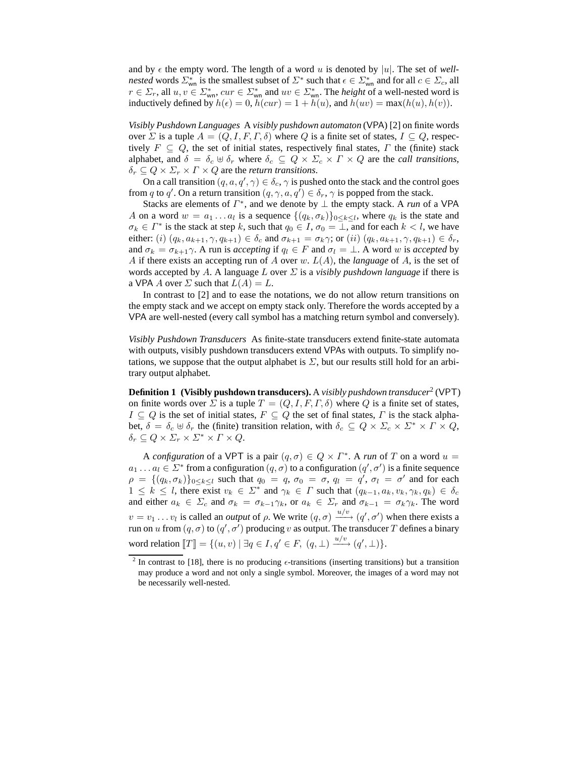and by  $\epsilon$  the empty word. The length of a word u is denoted by |u|. The set of *wellnested* words  $\Sigma^*_{\text{wn}}$  is the smallest subset of  $\Sigma^*$  such that  $\epsilon \in \Sigma^*_{\text{wn}}$  and for all  $c \in \Sigma_c$ , all  $r \in \Sigma_r$ , all  $u, v \in \Sigma_{\text{wn}}^*$ ,  $cur \in \Sigma_{\text{wn}}^*$  and  $uv \in \Sigma_{\text{wn}}^*$ . The *height* of a well-nested word is inductively defined by  $h(\epsilon) = 0$ ,  $h(cur) = 1 + h(u)$ , and  $h(uv) = \max(h(u), h(v))$ .

*Visibly Pushdown Languages* A *visibly pushdown automaton* (VPA) [2] on finite words over  $\Sigma$  is a tuple  $A = (Q, I, F, \Gamma, \delta)$  where Q is a finite set of states,  $I \subseteq Q$ , respectively  $F \subseteq Q$ , the set of initial states, respectively final states,  $\Gamma$  the (finite) stack alphabet, and  $\delta = \delta_c \oplus \delta_r$  where  $\delta_c \subseteq Q \times \Sigma_c \times \Gamma \times Q$  are the *call transitions*,  $\delta_r \subseteq Q \times \Sigma_r \times \Gamma \times Q$  are the *return transitions*.

On a call transition  $(q, a, q', \gamma) \in \delta_c$ ,  $\gamma$  is pushed onto the stack and the control goes from q to q'. On a return transition  $(q, \gamma, a, q') \in \delta_r$ ,  $\gamma$  is popped from the stack.

Stacks are elements of  $\Gamma^*$ , and we denote by  $\perp$  the empty stack. A *run* of a VPA A on a word  $w = a_1 \dots a_l$  is a sequence  $\{(q_k, \sigma_k)\}_{0 \leq k \leq l}$ , where  $q_k$  is the state and  $\sigma_k \in \Gamma^*$  is the stack at step k, such that  $q_0 \in I$ ,  $\sigma_0 = \bot$ , and for each  $k < l$ , we have either: (i)  $(q_k, a_{k+1}, \gamma, q_{k+1}) \in \delta_c$  and  $\sigma_{k+1} = \sigma_k \gamma$ ; or (ii)  $(q_k, a_{k+1}, \gamma, q_{k+1}) \in \delta_r$ , and  $\sigma_k = \sigma_{k+1}\gamma$ . A run is *accepting* if  $q_l \in F$  and  $\sigma_l = \bot$ . A word w is *accepted* by A if there exists an accepting run of A over w. L(A), the *language* of A, is the set of words accepted by A. A language L over  $\Sigma$  is a *visibly pushdown language* if there is a VPA A over  $\Sigma$  such that  $L(A) = L$ .

In contrast to [2] and to ease the notations, we do not allow return transitions on the empty stack and we accept on empty stack only. Therefore the words accepted by a VPA are well-nested (every call symbol has a matching return symbol and conversely).

*Visibly Pushdown Transducers* As finite-state transducers extend finite-state automata with outputs, visibly pushdown transducers extend VPAs with outputs. To simplify notations, we suppose that the output alphabet is  $\Sigma$ , but our results still hold for an arbitrary output alphabet.

**Definition 1 (Visibly pushdown transducers).** A *visibly pushdown transducer*<sup>2</sup> (VPT) on finite words over  $\Sigma$  is a tuple  $T = (Q, I, F, T, \delta)$  where  $Q$  is a finite set of states,  $I \subseteq Q$  is the set of initial states,  $F \subseteq Q$  the set of final states,  $\Gamma$  is the stack alphabet,  $\delta = \delta_c \oplus \delta_r$  the (finite) transition relation, with  $\delta_c \subseteq Q \times \Sigma_c \times \Sigma^* \times \Gamma \times Q$ ,  $\delta_r \subseteq Q \times \Sigma_r \times \Sigma^* \times \Gamma \times Q$ .

A *configuration* of a VPT is a pair  $(q, \sigma) \in Q \times \Gamma^*$ . A *run* of T on a word  $u =$  $a_1 \ldots a_l \in \Sigma^*$  from a configuration  $(q,\sigma)$  to a configuration  $(q',\sigma')$  is a finite sequence  $\rho = \{(q_k, \sigma_k)\}_{0 \leq k \leq l}$  such that  $q_0 = q$ ,  $\sigma_0 = \sigma$ ,  $q_l = q'$ ,  $\sigma_l = \sigma'$  and for each  $1 \leq k \leq l$ , there exist  $v_k \in \Sigma^*$  and  $\gamma_k \in \Gamma$  such that  $(q_{k-1}, a_k, v_k, \gamma_k, q_k) \in \delta_c$ and either  $a_k \in \Sigma_c$  and  $\sigma_k = \sigma_{k-1}\gamma_k$ , or  $a_k \in \Sigma_r$  and  $\sigma_{k-1} = \sigma_k\gamma_k$ . The word  $v = v_1 \dots v_l$  is called an *output* of  $\rho$ . We write  $(q, \sigma) \xrightarrow{u/v} (q', \sigma')$  when there exists a run on u from  $(q, \sigma)$  to  $(q', \sigma')$  producing v as output. The transducer T defines a binary word relation  $[[T]] = \{(u, v) | \exists q \in I, q' \in F, (q, \perp) \xrightarrow{u/v} (q', \perp)\}.$ 

<sup>&</sup>lt;sup>2</sup> In contrast to [18], there is no producing  $\epsilon$ -transitions (inserting transitions) but a transition may produce a word and not only a single symbol. Moreover, the images of a word may not be necessarily well-nested.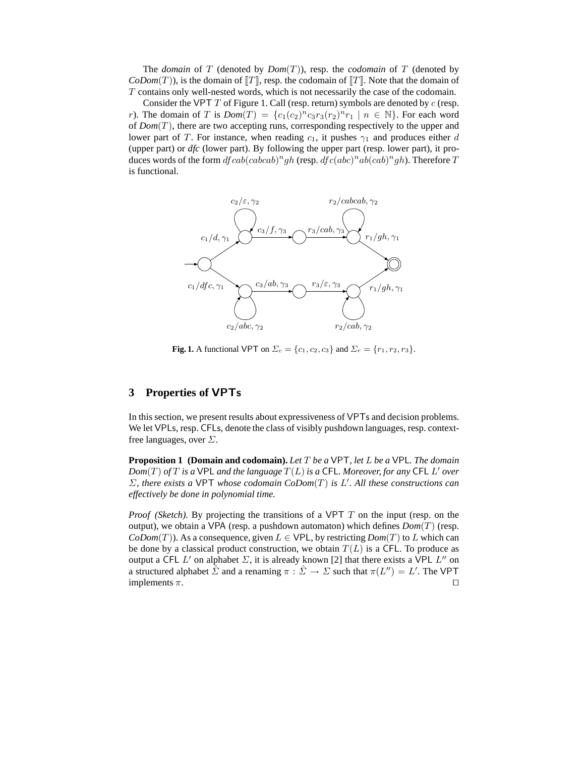The *domain* of T (denoted by  $Dom(T)$ ), resp. the *codomain* of T (denoted by  $CoDom(T)$ ), is the domain of  $T\mathbb{I}$ , resp. the codomain of  $T\mathbb{I}$ . Note that the domain of T contains only well-nested words, which is not necessarily the case of the codomain.

Consider the VPT  $T$  of Figure 1. Call (resp. return) symbols are denoted by  $c$  (resp. r). The domain of T is  $Dom(T) = \{c_1(c_2)^n c_3r_3(r_2)^n r_1 \mid n \in \mathbb{N}\}\.$  For each word of  $Dom(T)$ , there are two accepting runs, corresponding respectively to the upper and lower part of T. For instance, when reading  $c_1$ , it pushes  $\gamma_1$  and produces either d (upper part) or *dfc* (lower part). By following the upper part (resp. lower part), it produces words of the form  $dfcab(cabcab)^ngh$  (resp.  $dfc(abc)^nab(cab)^ngh$ ). Therefore T is functional.



**Fig. 1.** A functional VPT on  $\Sigma_c = \{c_1, c_2, c_3\}$  and  $\Sigma_r = \{r_1, r_2, r_3\}$ .

#### **3 Properties of** VPTs

In this section, we present results about expressiveness of VPTs and decision problems. We let VPLs, resp. CFLs, denote the class of visibly pushdown languages, resp. contextfree languages, over  $\Sigma$ .

**Proposition 1 (Domain and codomain).** *Let* T *be a* VPT*, let* L *be a* VPL*. The domain*  $Dom(T)$  of  $T$  *is a* VPL and the language  $T(L)$  *is a* CFL. Moreover, for any CFL  $L'$  over  $\Sigma$ , there exists a VPT whose codomain  $CoDom(T)$  is  $L'$ . All these constructions can *effectively be done in polynomial time.*

*Proof (Sketch)*. By projecting the transitions of a VPT T on the input (resp. on the output), we obtain a VPA (resp. a pushdown automaton) which defines *Dom*(T ) (resp.  $CoDom(T)$ ). As a consequence, given  $L \in VPL$ , by restricting  $Dom(T)$  to L which can be done by a classical product construction, we obtain  $T(L)$  is a CFL. To produce as output a CFL L' on alphabet  $\Sigma$ , it is already known [2] that there exists a VPL L'' on a structured alphabet  $\hat{\Sigma}$  and a renaming  $\pi : \hat{\Sigma} \to \Sigma$  such that  $\pi(L'') = L'$ . The VPT implements  $\pi$ .  $□$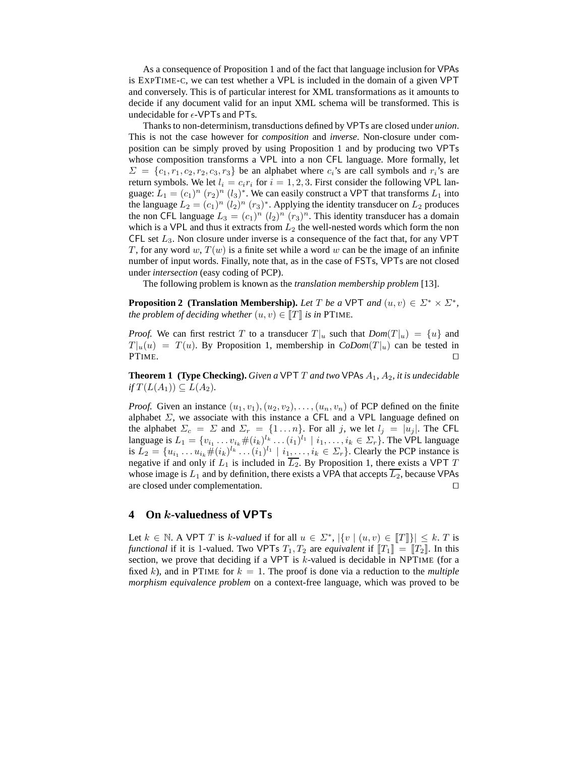As a consequence of Proposition 1 and of the fact that language inclusion for VPAs is EXPTIME-C, we can test whether a VPL is included in the domain of a given VPT and conversely. This is of particular interest for XML transformations as it amounts to decide if any document valid for an input XML schema will be transformed. This is undecidable for  $\epsilon$ -VPTs and PTs.

Thanks to non-determinism, transductions defined by VPTs are closed under *union*. This is not the case however for *composition* and *inverse*. Non-closure under composition can be simply proved by using Proposition 1 and by producing two VPTs whose composition transforms a VPL into a non CFL language. More formally, let  $\Sigma = \{c_1, r_1, c_2, r_2, c_3, r_3\}$  be an alphabet where  $c_i$ 's are call symbols and  $r_i$ 's are return symbols. We let  $l_i = c_i r_i$  for  $i = 1, 2, 3$ . First consider the following VPL language:  $L_1 = (c_1)^n (r_2)^n (l_3)^*$ . We can easily construct a VPT that transforms  $L_1$  into the language  $L_2 = (c_1)^n (l_2)^n (r_3)^*$ . Applying the identity transducer on  $L_2$  produces the non CFL language  $L_3 = (c_1)^n (l_2)^n (r_3)^n$ . This identity transducer has a domain which is a VPL and thus it extracts from  $L_2$  the well-nested words which form the non CFL set  $L_3$ . Non closure under inverse is a consequence of the fact that, for any VPT T, for any word w,  $T(w)$  is a finite set while a word w can be the image of an infinite number of input words. Finally, note that, as in the case of FSTs, VPTs are not closed under *intersection* (easy coding of PCP).

The following problem is known as the *translation membership problem* [13].

**Proposition 2** (Translation Membership). Let T be a VPT and  $(u, v) \in \Sigma^* \times \Sigma^*$ , *the problem of deciding whether*  $(u, v) \in [T]$  *is in* PTIME.

*Proof.* We can first restrict T to a transducer  $T|_u$  such that  $Dom(T|_u) = \{u\}$  and  $T|u(u) = T(u)$ . By Proposition 1, membership in  $CoDom(T|u)$  can be tested in PTIME. PTIME. □

**Theorem 1 (Type Checking).** Given a VPT T and two VPAs  $A_1$ ,  $A_2$ , it is undecidable  $if T(L(A_1)) \subseteq L(A_2)$ .

*Proof.* Given an instance  $(u_1, v_1), (u_2, v_2), \ldots, (u_n, v_n)$  of PCP defined on the finite alphabet  $\Sigma$ , we associate with this instance a CFL and a VPL language defined on the alphabet  $\Sigma_c = \Sigma$  and  $\Sigma_r = \{1 \dots n\}$ . For all j, we let  $l_j = |u_j|$ . The CFL language is  $L_1 = \{v_{i_1} \ldots v_{i_k} \# (i_k)^{l_k} \ldots (i_1)^{l_1} \mid i_1, \ldots, i_k \in \Sigma_r \}$ . The VPL language is  $L_2 = \{u_{i_1} \ldots u_{i_k} \# (i_k)^{l_k} \ldots (i_1)^{l_1} \mid i_1, \ldots, i_k \in \Sigma_r\}$ . Clearly the PCP instance is negative if and only if  $L_1$  is included in  $\overline{L_2}$ . By Proposition 1, there exists a VPT T whose image is  $L_1$  and by definition, there exists a VPA that accepts  $L_2$ , because VPAs are closed under complementation. □

#### **4 On** k**-valuedness of** VPTs

Let  $k \in \mathbb{N}$ . A VPT T is *k*-valued if for all  $u \in \Sigma^*$ ,  $|\{v \mid (u, v) \in [T]\}| \leq k$ . T is *functional* if it is 1-valued. Two VPTs  $T_1, T_2$  are *equivalent* if  $T_1 \mathbb{I} = [T_2]$ . In this section, we prove that deciding if a VPT is  $k$ -valued is decidable in NPTIME (for a fixed k), and in PTIME for  $k = 1$ . The proof is done via a reduction to the *multiple morphism equivalence problem* on a context-free language, which was proved to be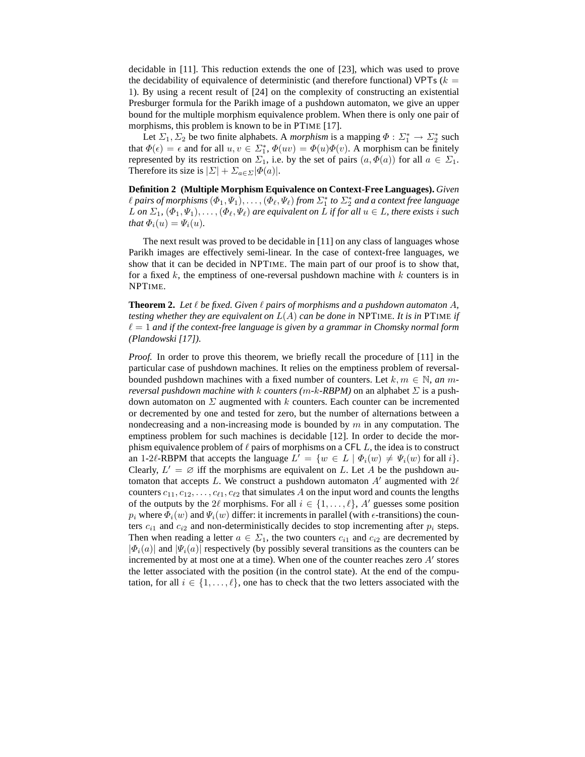decidable in [11]. This reduction extends the one of [23], which was used to prove the decidability of equivalence of deterministic (and therefore functional) VPTs ( $k =$ 1). By using a recent result of [24] on the complexity of constructing an existential Presburger formula for the Parikh image of a pushdown automaton, we give an upper bound for the multiple morphism equivalence problem. When there is only one pair of morphisms, this problem is known to be in PTIME [17].

Let  $\Sigma_1, \Sigma_2$  be two finite alphabets. A *morphism* is a mapping  $\Phi : \Sigma_1^* \to \Sigma_2^*$  such that  $\Phi(\epsilon) = \epsilon$  and for all  $u, v \in \Sigma_1^*, \Phi(uv) = \Phi(u)\Phi(v)$ . A morphism can be finitely represented by its restriction on  $\Sigma_1$ , i.e. by the set of pairs  $(a, \Phi(a))$  for all  $a \in \Sigma_1$ . Therefore its size is  $|\Sigma| + \sum_{a \in \Sigma} |\Phi(a)|$ .

**Definition 2 (Multiple Morphism Equivalence on Context-Free Languages).** *Given* l pairs of morphisms  $(\Phi_1, \Psi_1), \ldots, (\Phi_\ell, \Psi_\ell)$  from  $\Sigma_1^*$  to  $\Sigma_2^*$  and a context free language L on  $\Sigma_1$ ,  $(\Phi_1, \Psi_1)$ , ...,  $(\Phi_\ell, \Psi_\ell)$  are equivalent on L if for all  $u \in L$ , there exists i such *that*  $\Phi_i(u) = \Psi_i(u)$ *.* 

The next result was proved to be decidable in [11] on any class of languages whose Parikh images are effectively semi-linear. In the case of context-free languages, we show that it can be decided in NPTIME. The main part of our proof is to show that, for a fixed k, the emptiness of one-reversal pushdown machine with  $k$  counters is in NPTIME.

**Theorem 2.** Let  $\ell$  be fixed. Given  $\ell$  pairs of morphisms and a pushdown automaton A, *testing whether they are equivalent on* L(A) *can be done in* NPTIME*. It is in* PTIME *if*  $\ell = 1$  and if the context-free language is given by a grammar in Chomsky normal form *(Plandowski [17]).*

*Proof.* In order to prove this theorem, we briefly recall the procedure of [11] in the particular case of pushdown machines. It relies on the emptiness problem of reversalbounded pushdown machines with a fixed number of counters. Let  $k, m \in \mathbb{N}$ , an m*reversal pushdown machine with k counters (m-k-RBPM)* on an alphabet  $\Sigma$  is a pushdown automaton on  $\Sigma$  augmented with k counters. Each counter can be incremented or decremented by one and tested for zero, but the number of alternations between a nondecreasing and a non-increasing mode is bounded by  $m$  in any computation. The emptiness problem for such machines is decidable [12]. In order to decide the morphism equivalence problem of  $\ell$  pairs of morphisms on a CFL  $L$ , the idea is to construct an 1-2 $\ell$ -RBPM that accepts the language  $L' = \{w \in L \mid \Phi_i(w) \neq \Psi_i(w) \text{ for all } i\}.$ Clearly,  $L' = \emptyset$  iff the morphisms are equivalent on L. Let A be the pushdown automaton that accepts L. We construct a pushdown automaton  $A'$  augmented with  $2\ell$ counters  $c_{11}, c_{12}, \ldots, c_{\ell 1}, c_{\ell 2}$  that simulates A on the input word and counts the lengths of the outputs by the 2 $\ell$  morphisms. For all  $i \in \{1, \ldots, \ell\}$ , A' guesses some position  $p_i$  where  $\Phi_i(w)$  and  $\Psi_i(w)$  differ: it increments in parallel (with  $\epsilon$ -transitions) the counters  $c_{i1}$  and  $c_{i2}$  and non-deterministically decides to stop incrementing after  $p_i$  steps. Then when reading a letter  $a \in \Sigma_1$ , the two counters  $c_{i1}$  and  $c_{i2}$  are decremented by  $|\Phi_i(a)|$  and  $|\Psi_i(a)|$  respectively (by possibly several transitions as the counters can be incremented by at most one at a time). When one of the counter reaches zero A′ stores the letter associated with the position (in the control state). At the end of the computation, for all  $i \in \{1, \ldots, \ell\}$ , one has to check that the two letters associated with the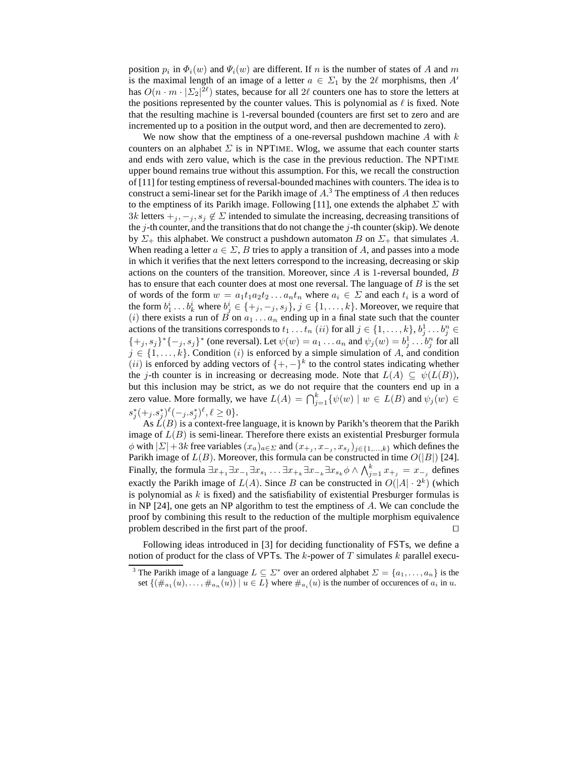position  $p_i$  in  $\Phi_i(w)$  and  $\Psi_i(w)$  are different. If n is the number of states of A and m is the maximal length of an image of a letter  $a \in \Sigma_1$  by the  $2\ell$  morphisms, then A' has  $O(n \cdot m \cdot |\Sigma_2|^{2\ell})$  states, because for all  $2\ell$  counters one has to store the letters at the positions represented by the counter values. This is polynomial as  $\ell$  is fixed. Note that the resulting machine is 1-reversal bounded (counters are first set to zero and are incremented up to a position in the output word, and then are decremented to zero).

We now show that the emptiness of a one-reversal pushdown machine  $A$  with  $k$ counters on an alphabet  $\Sigma$  is in NPTIME. Wlog, we assume that each counter starts and ends with zero value, which is the case in the previous reduction. The NPTIME upper bound remains true without this assumption. For this, we recall the construction of [11] for testing emptiness of reversal-bounded machines with counters. The idea is to construct a semi-linear set for the Parikh image of  $A$ <sup>3</sup>. The emptiness of A then reduces to the emptiness of its Parikh image. Following [11], one extends the alphabet  $\Sigma$  with 3k letters  $+_{j}, -_{j}, s_{j} \notin \Sigma$  intended to simulate the increasing, decreasing transitions of the  $j$ -th counter, and the transitions that do not change the  $j$ -th counter (skip). We denote by  $\Sigma_{+}$  this alphabet. We construct a pushdown automaton B on  $\Sigma_{+}$  that simulates A. When reading a letter  $a \in \Sigma$ , B tries to apply a transition of A, and passes into a mode in which it verifies that the next letters correspond to the increasing, decreasing or skip actions on the counters of the transition. Moreover, since  $A$  is 1-reversal bounded,  $B$ has to ensure that each counter does at most one reversal. The language of  $B$  is the set of words of the form  $w = a_1t_1a_2t_2 \ldots a_nt_n$  where  $a_i \in \Sigma$  and each  $t_i$  is a word of the form  $b_1^i \dots b_k^i$  where  $b_j^i \in \{+_j, -_j, s_j\}$ ,  $j \in \{1, \dots, k\}$ . Moreover, we require that (i) there exists a run of B on  $a_1 \ldots a_n$  ending up in a final state such that the counter actions of the transitions corresponds to  $t_1 \ldots t_n$   $(ii)$  for all  $j \in \{1, \ldots, k\}, b_j^1 \ldots b_j^n \in$  $\{+_{j}, s_{j}\}^{*}\{-_{j}, s_{j}\}^{*}$  (one reversal). Let  $\psi(w) = a_{1} \dots a_{n}$  and  $\psi_{j}(w) = b_{j}^{1} \dots b_{j}^{n}$  for all  $j \in \{1, \ldots, k\}$ . Condition (i) is enforced by a simple simulation of A, and condition  $(ii)$  is enforced by adding vectors of  $\{+,-\}^k$  to the control states indicating whether the j-th counter is in increasing or decreasing mode. Note that  $L(A) \subseteq \psi(L(B))$ , but this inclusion may be strict, as we do not require that the counters end up in a zero value. More formally, we have  $L(A) = \bigcap_{j=1}^{k} {\psi(w) \mid w \in L(B) \text{ and } \psi_j(w) \in \Theta}$  $s_j^*(+j.s_j^*)^{\ell}(-j.s_j^*)^{\ell}, \ell \geq 0$ .

As  $\tilde{L}(B)$  is a context-free language, it is known by Parikh's theorem that the Parikh image of  $L(B)$  is semi-linear. Therefore there exists an existential Presburger formula  $\phi$  with  $|\Sigma|+3k$  free variables  $(x_a)_{a\in\Sigma}$  and  $(x_{+j}, x_{-j}, x_{s_j})_{j\in\{1,...,k\}}$  which defines the Parikh image of  $L(B)$ . Moreover, this formula can be constructed in time  $O(|B|)$  [24]. Finally, the formula  $\exists x_{+1} \exists x_{-1} \exists x_{s_1} \ldots \exists x_{+k} \exists x_{-k} \exists x_{s_k} \phi \wedge \bigwedge_{j=1}^k x_{+_j} = x_{-_j}$  defines exactly the Parikh image of  $L(A)$ . Since B can be constructed in  $O(|A| \cdot 2^k)$  (which is polynomial as  $k$  is fixed) and the satisfiability of existential Presburger formulas is in NP  $[24]$ , one gets an NP algorithm to test the emptiness of A. We can conclude the proof by combining this result to the reduction of the multiple morphism equivalence problem described in the first part of the proof. □

Following ideas introduced in [3] for deciding functionality of FSTs, we define a notion of product for the class of VPTs. The  $k$ -power of  $T$  simulates  $k$  parallel execu-

<sup>&</sup>lt;sup>3</sup> The Parikh image of a language  $L \subseteq \Sigma^*$  over an ordered alphabet  $\Sigma = \{a_1, \ldots, a_n\}$  is the set  $\{(\#_{a_1}(u), \ldots, \#_{a_n}(u)) \mid u \in L\}$  where  $\#_{a_i}(u)$  is the number of occurences of  $a_i$  in  $u$ .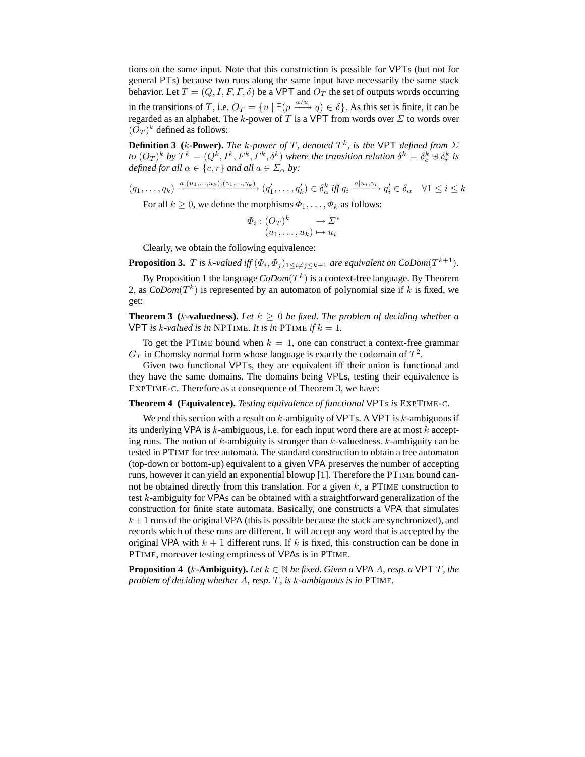tions on the same input. Note that this construction is possible for VPTs (but not for general PTs) because two runs along the same input have necessarily the same stack behavior. Let  $T = (Q, I, F, \Gamma, \delta)$  be a VPT and  $O_T$  the set of outputs words occurring in the transitions of T, i.e.  $O_T = \{u \mid \exists (p \xrightarrow{a/u} q) \in \delta\}$ . As this set is finite, it can be regarded as an alphabet. The k-power of T is a VPT from words over  $\Sigma$  to words over  $(O_T)^k$  defined as follows:

**Definition 3** (k-Power). The k-power of T, denoted  $T<sup>k</sup>$ , is the VPT defined from  $\Sigma$ *to*  $(O_T)^k$  *by*  $T^k = (Q^k, I^k, F^k, I^k, \delta^k)$  where the transition relation  $\delta^k = \delta^k_c \oplus \delta^k_r$  is *defined for all*  $\alpha \in \{c, r\}$  *and all*  $a \in \Sigma_{\alpha}$  *by:* 

$$
(q_1, \ldots, q_k) \xrightarrow{a \mid (u_1, \ldots, u_k), (\gamma_1, \ldots, \gamma_k)} (q'_1, \ldots, q'_k) \in \delta^k_\alpha \text{ iff } q_i \xrightarrow{a \mid u_i, \gamma_i} q'_i \in \delta_\alpha \quad \forall 1 \le i \le k
$$

For all  $k \geq 0$ , we define the morphisms  $\Phi_1, \ldots, \Phi_k$  as follows:

$$
\Phi_i: (O_T)^k \longrightarrow \Sigma^*
$$
  

$$
(u_1, \dots, u_k) \mapsto u_i
$$

Clearly, we obtain the following equivalence:

**Proposition 3.** T is k-valued iff  $(\Phi_i, \Phi_j)_{1 \leq i \neq j \leq k+1}$  are equivalent on  $CoDom(T^{k+1})$ .

By Proposition 1 the language  $CoDom(T^k)$  is a context-free language. By Theorem 2, as  $CoDom(T^k)$  is represented by an automaton of polynomial size if k is fixed, we get:

**Theorem 3** (*k*-valuedness). Let  $k \geq 0$  be fixed. The problem of deciding whether a VPT *is* k-valued is in NPTIME. It is in PTIME if  $k = 1$ .

To get the PTIME bound when  $k = 1$ , one can construct a context-free grammar  $G_T$  in Chomsky normal form whose language is exactly the codomain of  $T^2$ .

Given two functional VPTs, they are equivalent iff their union is functional and they have the same domains. The domains being VPLs, testing their equivalence is EXPTIME-C. Therefore as a consequence of Theorem 3, we have:

#### **Theorem 4 (Equivalence).** *Testing equivalence of functional* VPTs *is* EXPTIME-C*.*

We end this section with a result on k-ambiguity of VPTs. A VPT is k-ambiguous if its underlying VPA is  $k$ -ambiguous, i.e. for each input word there are at most  $k$  accepting runs. The notion of  $k$ -ambiguity is stronger than  $k$ -valuedness.  $k$ -ambiguity can be tested in PTIME for tree automata. The standard construction to obtain a tree automaton (top-down or bottom-up) equivalent to a given VPA preserves the number of accepting runs, however it can yield an exponential blowup [1]. Therefore the PTIME bound cannot be obtained directly from this translation. For a given  $k$ , a PTIME construction to test k-ambiguity for VPAs can be obtained with a straightforward generalization of the construction for finite state automata. Basically, one constructs a VPA that simulates  $k+1$  runs of the original VPA (this is possible because the stack are synchronized), and records which of these runs are different. It will accept any word that is accepted by the original VPA with  $k + 1$  different runs. If k is fixed, this construction can be done in PTIME, moreover testing emptiness of VPAs is in PTIME.

**Proposition 4** ( $k$ -Ambiguity). Let  $k \in \mathbb{N}$  be fixed. Given a VPA A, resp. a VPT T, the *problem of deciding whether* A*, resp.* T *, is* k*-ambiguous is in* PTIME*.*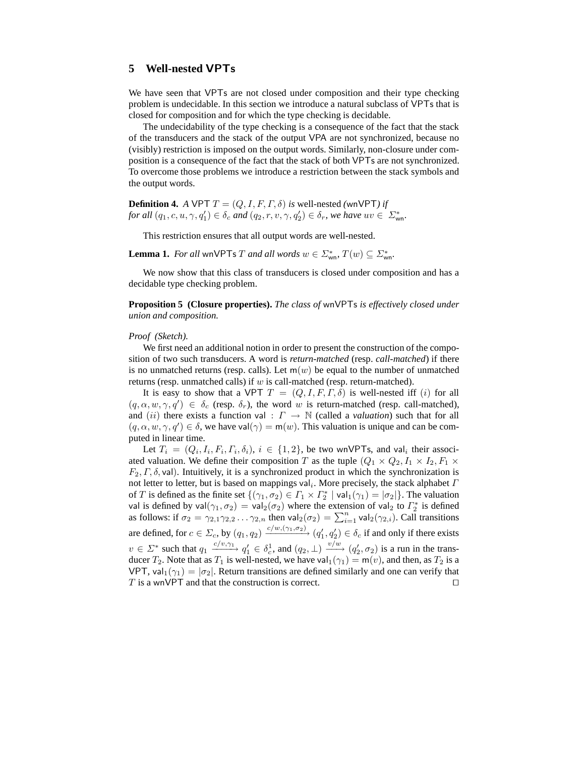### **5 Well-nested** VPTs

We have seen that VPTs are not closed under composition and their type checking problem is undecidable. In this section we introduce a natural subclass of VPTs that is closed for composition and for which the type checking is decidable.

The undecidability of the type checking is a consequence of the fact that the stack of the transducers and the stack of the output VPA are not synchronized, because no (visibly) restriction is imposed on the output words. Similarly, non-closure under composition is a consequence of the fact that the stack of both VPTs are not synchronized. To overcome those problems we introduce a restriction between the stack symbols and the output words.

**Definition 4.** *A* VPT  $T = (Q, I, F, T, \delta)$  *is* well-nested (wnVPT) *if for all*  $(q_1, c, u, \gamma, q'_1) \in \delta_c$  *and*  $(q_2, r, v, \gamma, q'_2) \in \delta_r$ , we have  $uv \in \Sigma_{\text{wn}}^*$ .

This restriction ensures that all output words are well-nested.

**Lemma 1.** *For all* wnVPTs *T and all words*  $w \in \Sigma_{\text{wn}}^*$ ,  $T(w) \subseteq \Sigma_{\text{wn}}^*$ .

We now show that this class of transducers is closed under composition and has a decidable type checking problem.

**Proposition 5 (Closure properties).** *The class of* wnVPTs *is effectively closed under union and composition.*

#### *Proof (Sketch).*

We first need an additional notion in order to present the construction of the composition of two such transducers. A word is *return-matched* (resp. *call-matched*) if there is no unmatched returns (resp. calls). Let  $m(w)$  be equal to the number of unmatched returns (resp. unmatched calls) if  $w$  is call-matched (resp. return-matched).

It is easy to show that a VPT  $T = (Q, I, F, \Gamma, \delta)$  is well-nested iff (i) for all  $(q, \alpha, w, \gamma, q') \in \delta_c$  (resp.  $\delta_r$ ), the word w is return-matched (resp. call-matched), and (ii) there exists a function val :  $\Gamma \rightarrow \mathbb{N}$  (called a *valuation*) such that for all  $(q, \alpha, w, \gamma, q') \in \delta$ , we have val $(\gamma) = m(w)$ . This valuation is unique and can be computed in linear time.

Let  $T_i = (Q_i, I_i, F_i, \Gamma_i, \delta_i), i \in \{1, 2\}$ , be two wnVPTs, and val<sub>i</sub> their associated valuation. We define their composition T as the tuple  $(Q_1 \times Q_2, I_1 \times I_2, F_1 \times$  $F_2, \Gamma, \delta$ , val). Intuitively, it is a synchronized product in which the synchronization is not letter to letter, but is based on mappings val<sub>i</sub>. More precisely, the stack alphabet  $\overline{I}$ of T is defined as the finite set  $\{(\gamma_1, \sigma_2) \in \Gamma_1 \times \Gamma_2^* \mid \text{val}_1(\gamma_1) = |\sigma_2|\}.$  The valuation val is defined by val $(\gamma_1, \sigma_2) = \text{val}_2(\sigma_2)$  where the extension of val<sub>2</sub> to  $\Gamma_2^*$  is defined as follows: if  $\sigma_2 = \gamma_{2,1}\gamma_{2,2}\dots\gamma_{2,n}$  then  $\text{val}_2(\sigma_2) = \sum_{i=1}^n \text{val}_2(\gamma_{2,i})$ . Call transitions are defined, for  $c \in \Sigma_c$ , by  $(q_1, q_2) \xrightarrow{c/w, (\gamma_1, \sigma_2)} (q'_1, q'_2) \in \delta_c$  if and only if there exists  $v \in \Sigma^*$  such that  $q_1 \xrightarrow{c/v,\gamma_1} q'_1 \in \delta_c^1$ , and  $(q_2, \perp) \xrightarrow{v/w} (q'_2, \sigma_2)$  is a run in the transducer  $T_2$ . Note that as  $T_1$  is well-nested, we have val $_1(\gamma_1) = m(v)$ , and then, as  $T_2$  is a VPT, val<sub>1</sub>( $\gamma_1$ ) =  $|\sigma_2|$ . Return transitions are defined similarly and one can verify that T is a wnVPT and that the construction is correct.  $□$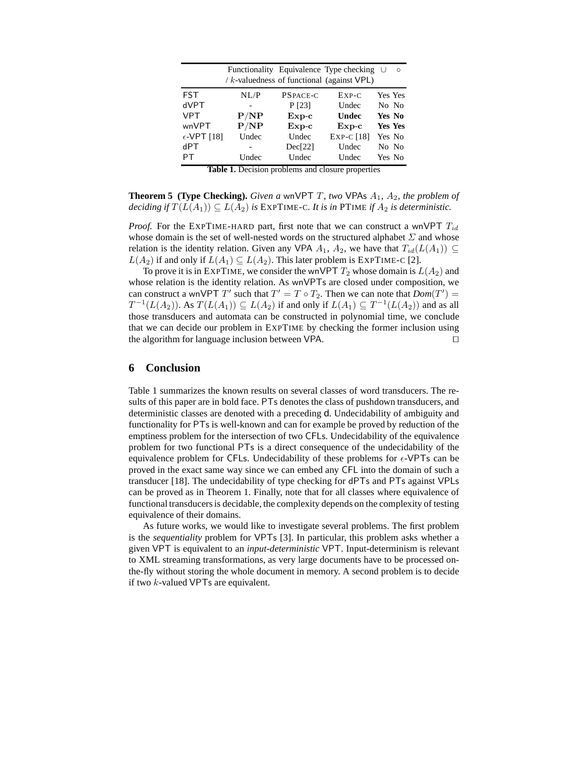|                      |       |                 | Functionality Equivalence Type checking $\cup$<br>/ $k$ -valuedness of functional (against VPL) |        | $\circ$        |
|----------------------|-------|-----------------|-------------------------------------------------------------------------------------------------|--------|----------------|
| FST                  | NI/P  | <b>PSPACE-C</b> | $EXP-C$                                                                                         |        | Yes Yes        |
| dVPT                 |       | P [23]          | Undec                                                                                           |        | No No          |
| <b>VPT</b>           | P/NP  | $Exp-c$         | Undec                                                                                           | Yes No |                |
| wnVPT                | P/NP  | Exp-c           | $Exp-c$                                                                                         |        | <b>Yes Yes</b> |
| $\epsilon$ -VPT [18] | Undec | Undec           | EXP-C [18]                                                                                      | Yes No |                |
| dPT                  |       | Dec[22]         | Undec                                                                                           |        | No No          |
| PТ                   | Undec | Undec           | Undec                                                                                           |        | Yes No         |

**Table 1.** Decision problems and closure properties

**Theorem 5 (Type Checking).** *Given a* wnVPT T, two VPAs  $A_1$ ,  $A_2$ , the problem of *deciding if*  $T(L(A_1)) \subseteq L(A_2)$  *is* EXPTIME-C. It *is in* PTIME *if*  $A_2$  *is deterministic.* 

*Proof.* For the EXPTIME-HARD part, first note that we can construct a wnVPT  $T_{id}$ whose domain is the set of well-nested words on the structured alphabet  $\Sigma$  and whose relation is the identity relation. Given any VPA  $A_1$ ,  $A_2$ , we have that  $T_{id}(L(A_1)) \subseteq$  $L(A_2)$  if and only if  $L(A_1) \subseteq L(A_2)$ . This later problem is EXPTIME-C [2].

To prove it is in EXPTIME, we consider the wnVPT  $T_2$  whose domain is  $L(A_2)$  and whose relation is the identity relation. As wnVPTs are closed under composition, we can construct a wnVPT T' such that  $T' = T \circ T_2$ . Then we can note that  $Dom(T') =$  $T^{-1}(L(A_2))$ . As  $T(L(A_1)) \subseteq L(A_2)$  if and only if  $L(A_1) \subseteq T^{-1}(L(A_2))$  and as all those transducers and automata can be constructed in polynomial time, we conclude that we can decide our problem in EXPTIME by checking the former inclusion using the algorithm for language inclusion between VPA. ⊓⊔

#### **6 Conclusion**

Table 1 summarizes the known results on several classes of word transducers. The results of this paper are in bold face. PTs denotes the class of pushdown transducers, and deterministic classes are denoted with a preceding d. Undecidability of ambiguity and functionality for PTs is well-known and can for example be proved by reduction of the emptiness problem for the intersection of two CFLs. Undecidability of the equivalence problem for two functional PTs is a direct consequence of the undecidability of the equivalence problem for CFLs. Undecidability of these problems for  $\epsilon$ -VPTs can be proved in the exact same way since we can embed any CFL into the domain of such a transducer [18]. The undecidability of type checking for dPTs and PTs against VPLs can be proved as in Theorem 1. Finally, note that for all classes where equivalence of functional transducers is decidable, the complexity depends on the complexity of testing equivalence of their domains.

As future works, we would like to investigate several problems. The first problem is the *sequentiality* problem for VPTs [3]. In particular, this problem asks whether a given VPT is equivalent to an *input-deterministic* VPT. Input-determinism is relevant to XML streaming transformations, as very large documents have to be processed onthe-fly without storing the whole document in memory. A second problem is to decide if two k-valued VPTs are equivalent.